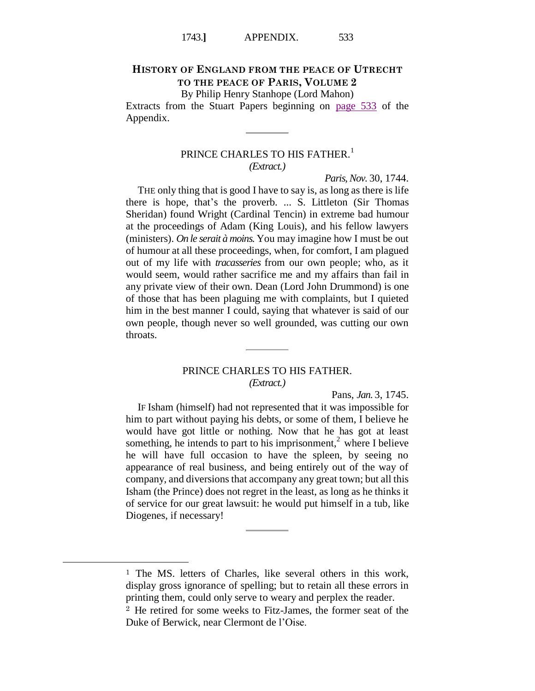# **HISTORY OF ENGLAND FROM THE PEACE OF UTRECHT TO THE PEACE OF PARIS, VOLUME 2**

By Philip Henry Stanhope (Lord Mahon)

Extracts from the Stuart Papers beginning on [page 533](http://books.google.com/books?id=McJCAAAAYAAJ&pg=PA533#v=onepage&q&f=false) of the Appendix.

# PRINCE CHARLES TO HIS FATHER.<sup>1</sup>

*(Extract.)*

*Paris, Nov.* 30, 1744.

THE only thing that is good I have to say is, as long as there is life there is hope, that's the proverb. ... S. Littleton (Sir Thomas Sheridan) found Wright (Cardinal Tencin) in extreme bad humour at the proceedings of Adam (King Louis), and his fellow lawyers (ministers). *On le serait à moins.* You may imagine how I must be out of humour at all these proceedings, when, for comfort, I am plagued out of my life with *tracasseries* from our own people; who, as it would seem, would rather sacrifice me and my affairs than fail in any private view of their own. Dean (Lord John Drummond) is one of those that has been plaguing me with complaints, but I quieted him in the best manner I could, saying that whatever is said of our own people, though never so well grounded, was cutting our own throats.

# PRINCE CHARLES TO HIS FATHER. *(Extract.)*

Pans, *Jan.* 3, 1745.

IF Isham (himself) had not represented that it was impossible for him to part without paying his debts, or some of them, I believe he would have got little or nothing. Now that he has got at least something, he intends to part to his imprisonment, $\frac{2}{3}$  where I believe he will have full occasion to have the spleen, by seeing no appearance of real business, and being entirely out of the way of company, and diversions that accompany any great town; but all this Isham (the Prince) does not regret in the least, as long as he thinks it of service for our great lawsuit: he would put himself in a tub, like Diogenes, if necessary!

l

<sup>&</sup>lt;sup>1</sup> The MS, letters of Charles, like several others in this work, display gross ignorance of spelling; but to retain all these errors in printing them, could only serve to weary and perplex the reader.

 $2$  He retired for some weeks to Fitz-James, the former seat of the Duke of Berwick, near Clermont de l'Oise.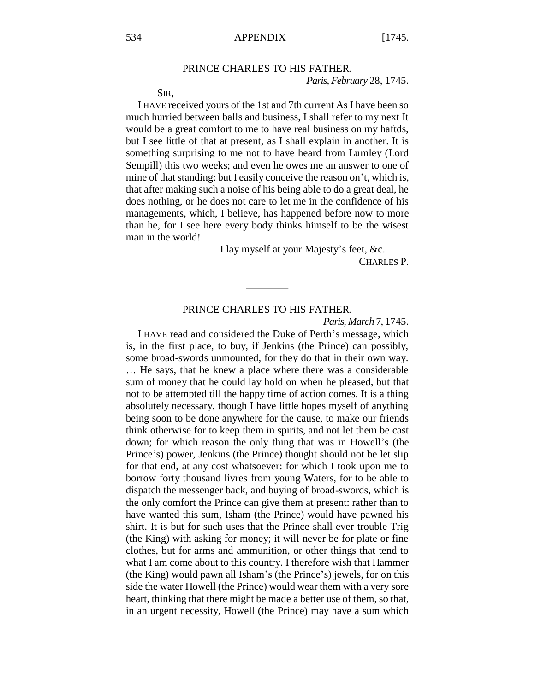# PRINCE CHARLES TO HIS FATHER.

*Paris, February* 28, 1745.

SIR,

I HAVE received yours of the 1st and 7th current As I have been so much hurried between balls and business, I shall refer to my next It would be a great comfort to me to have real business on my haftds, but I see little of that at present, as I shall explain in another. It is something surprising to me not to have heard from Lumley (Lord Sempill) this two weeks; and even he owes me an answer to one of mine of that standing: but I easily conceive the reason on't, which is, that after making such a noise of his being able to do a great deal, he does nothing, or he does not care to let me in the confidence of his managements, which, I believe, has happened before now to more than he, for I see here every body thinks himself to be the wisest man in the world!

> I lay myself at your Majesty's feet, &c. CHARLES P.

# PRINCE CHARLES TO HIS FATHER.

*Paris, March* 7, 1745.

I HAVE read and considered the Duke of Perth's message, which is, in the first place, to buy, if Jenkins (the Prince) can possibly, some broad-swords unmounted, for they do that in their own way. … He says, that he knew a place where there was a considerable sum of money that he could lay hold on when he pleased, but that not to be attempted till the happy time of action comes. It is a thing absolutely necessary, though I have little hopes myself of anything being soon to be done anywhere for the cause, to make our friends think otherwise for to keep them in spirits, and not let them be cast down; for which reason the only thing that was in Howell's (the Prince's) power, Jenkins (the Prince) thought should not be let slip for that end, at any cost whatsoever: for which I took upon me to borrow forty thousand livres from young Waters, for to be able to dispatch the messenger back, and buying of broad-swords, which is the only comfort the Prince can give them at present: rather than to have wanted this sum, Isham (the Prince) would have pawned his shirt. It is but for such uses that the Prince shall ever trouble Trig (the King) with asking for money; it will never be for plate or fine clothes, but for arms and ammunition, or other things that tend to what I am come about to this country. I therefore wish that Hammer (the King) would pawn all Isham's (the Prince's) jewels, for on this side the water Howell (the Prince) would wear them with a very sore heart, thinking that there might be made a better use of them, so that, in an urgent necessity, Howell (the Prince) may have a sum which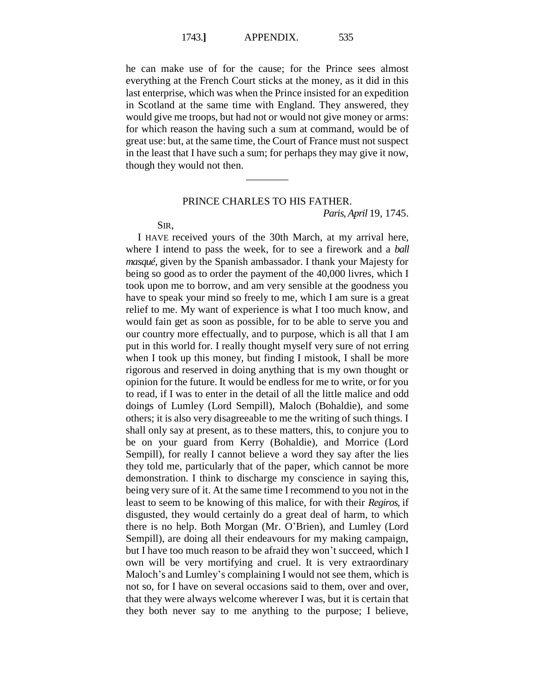he can make use of for the cause; for the Prince sees almost everything at the French Court sticks at the money, as it did in this last enterprise, which was when the Prince insisted for an expedition in Scotland at the same time with England. They answered, they would give me troops, but had not or would not give money or arms: for which reason the having such a sum at command, would be of great use: but, at the same time, the Court of France must not suspect in the least that I have such a sum; for perhaps they may give it now, though they would not then.

# PRINCE CHARLES TO HIS FATHER.

SIR,

*Paris, April* 19, 1745.

I HAVE received yours of the 30th March, at my arrival here, where I intend to pass the week, for to see a firework and a *ball masqué,* given by the Spanish ambassador. I thank your Majesty for being so good as to order the payment of the 40,000 livres, which I took upon me to borrow, and am very sensible at the goodness you have to speak your mind so freely to me, which I am sure is a great relief to me. My want of experience is what I too much know, and would fain get as soon as possible, for to be able to serve you and our country more effectually, and to purpose, which is all that I am put in this world for. I really thought myself very sure of not erring when I took up this money, but finding I mistook, I shall be more rigorous and reserved in doing anything that is my own thought or opinion for the future. It would be endless for me to write, or for you to read, if I was to enter in the detail of all the little malice and odd doings of Lumley (Lord Sempill), Maloch (Bohaldie), and some others; it is also very disagreeable to me the writing of such things. I shall only say at present, as to these matters, this, to conjure you to be on your guard from Kerry (Bohaldie), and Morrice (Lord Sempill), for really I cannot believe a word they say after the lies they told me, particularly that of the paper, which cannot be more demonstration. I think to discharge my conscience in saying this, being very sure of it. At the same time I recommend to you not in the least to seem to be knowing of this malice, for with their *Regiros,* if disgusted, they would certainly do a great deal of harm, to which there is no help. Both Morgan (Mr. O'Brien), and Lumley (Lord Sempill), are doing all their endeavours for my making campaign, but I have too much reason to be afraid they won't succeed, which I own will be very mortifying and cruel. It is very extraordinary Maloch's and Lumley's complaining I would not see them, which is not so, for I have on several occasions said to them, over and over, that they were always welcome wherever I was, but it is certain that they both never say to me anything to the purpose; I believe,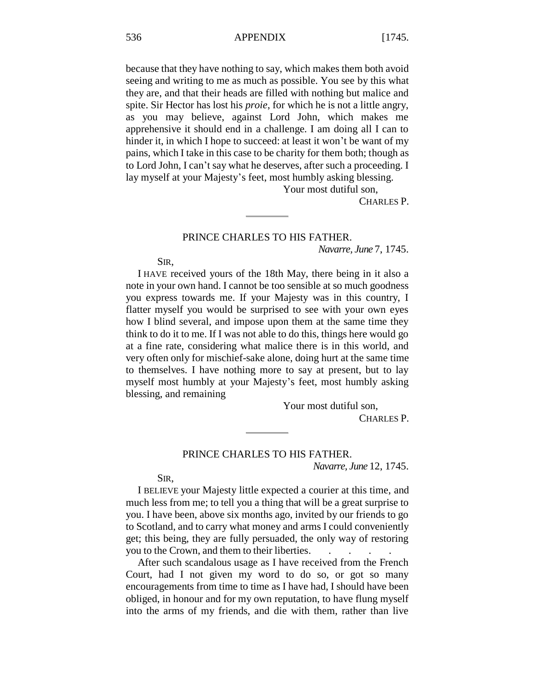#### 536 APPENDIX [1745.]

because that they have nothing to say, which makes them both avoid seeing and writing to me as much as possible. You see by this what they are, and that their heads are filled with nothing but malice and spite. Sir Hector has lost his *proie*, for which he is not a little angry, as you may believe, against Lord John, which makes me apprehensive it should end in a challenge. I am doing all I can to hinder it, in which I hope to succeed: at least it won't be want of my pains, which I take in this case to be charity for them both; though as to Lord John, I can't say what he deserves, after such a proceeding. I lay myself at your Majesty's feet, most humbly asking blessing.

Your most dutiful son,

CHARLES P.

#### PRINCE CHARLES TO HIS FATHER.

*Navarre, June* 7, 1745.

SIR,

I HAVE received yours of the 18th May, there being in it also a note in your own hand. I cannot be too sensible at so much goodness you express towards me. If your Majesty was in this country, I flatter myself you would be surprised to see with your own eyes how I blind several, and impose upon them at the same time they think to do it to me. If I was not able to do this, things here would go at a fine rate, considering what malice there is in this world, and very often only for mischief-sake alone, doing hurt at the same time to themselves. I have nothing more to say at present, but to lay myself most humbly at your Majesty's feet, most humbly asking blessing, and remaining

> Your most dutiful son, CHARLES P.

#### PRINCE CHARLES TO HIS FATHER.

*Navarre, June* 12, 1745.

SIR,

I BELIEVE your Majesty little expected a courier at this time, and much less from me; to tell you a thing that will be a great surprise to you. I have been, above six months ago, invited by our friends to go to Scotland, and to carry what money and arms I could conveniently get; this being, they are fully persuaded, the only way of restoring you to the Crown, and them to their liberties.

After such scandalous usage as I have received from the French Court, had I not given my word to do so, or got so many encouragements from time to time as I have had, I should have been obliged, in honour and for my own reputation, to have flung myself into the arms of my friends, and die with them, rather than live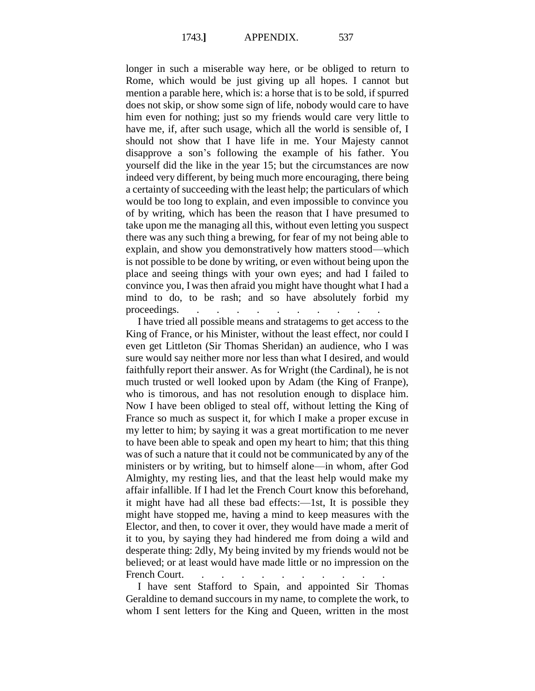longer in such a miserable way here, or be obliged to return to Rome, which would be just giving up all hopes. I cannot but mention a parable here, which is: a horse that is to be sold, if spurred does not skip, or show some sign of life, nobody would care to have him even for nothing; just so my friends would care very little to have me, if, after such usage, which all the world is sensible of, I should not show that I have life in me. Your Majesty cannot disapprove a son's following the example of his father. You yourself did the like in the year 15; but the circumstances are now indeed very different, by being much more encouraging, there being a certainty of succeeding with the least help; the particulars of which would be too long to explain, and even impossible to convince you of by writing, which has been the reason that I have presumed to take upon me the managing all this, without even letting you suspect there was any such thing a brewing, for fear of my not being able to explain, and show you demonstratively how matters stood—which is not possible to be done by writing, or even without being upon the place and seeing things with your own eyes; and had I failed to convince you, I was then afraid you might have thought what I had a mind to do, to be rash; and so have absolutely forbid my proceedings. . . . . . .

I have tried all possible means and stratagems to get access to the King of France, or his Minister, without the least effect, nor could I even get Littleton (Sir Thomas Sheridan) an audience, who I was sure would say neither more nor less than what I desired, and would faithfully report their answer. As for Wright (the Cardinal), he is not much trusted or well looked upon by Adam (the King of Franpe), who is timorous, and has not resolution enough to displace him. Now I have been obliged to steal off, without letting the King of France so much as suspect it, for which I make a proper excuse in my letter to him; by saying it was a great mortification to me never to have been able to speak and open my heart to him; that this thing was of such a nature that it could not be communicated by any of the ministers or by writing, but to himself alone—in whom, after God Almighty, my resting lies, and that the least help would make my affair infallible. If I had let the French Court know this beforehand, it might have had all these bad effects:—1st, It is possible they might have stopped me, having a mind to keep measures with the Elector, and then, to cover it over, they would have made a merit of it to you, by saying they had hindered me from doing a wild and desperate thing: 2dly, My being invited by my friends would not be believed; or at least would have made little or no impression on the French Court...........

I have sent Stafford to Spain, and appointed Sir Thomas Geraldine to demand succours in my name, to complete the work, to whom I sent letters for the King and Queen, written in the most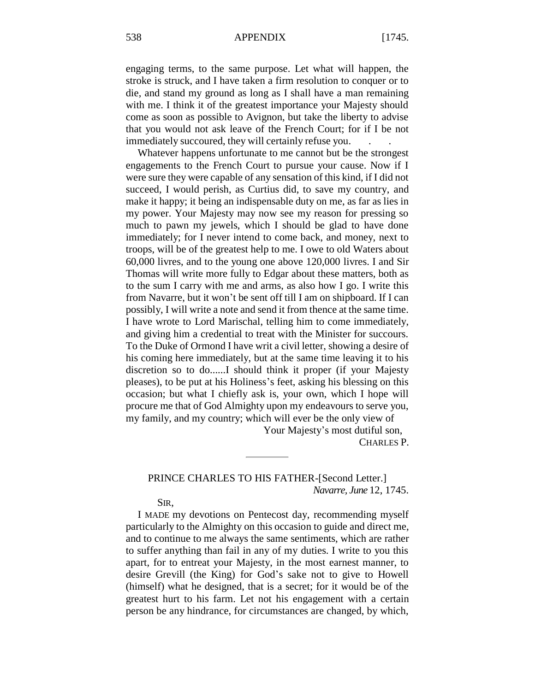538 APPENDIX [1745.

engaging terms, to the same purpose. Let what will happen, the stroke is struck, and I have taken a firm resolution to conquer or to die, and stand my ground as long as I shall have a man remaining with me. I think it of the greatest importance your Majesty should come as soon as possible to Avignon, but take the liberty to advise that you would not ask leave of the French Court; for if I be not immediately succoured, they will certainly refuse you.

Whatever happens unfortunate to me cannot but be the strongest engagements to the French Court to pursue your cause. Now if I were sure they were capable of any sensation of this kind, if I did not succeed, I would perish, as Curtius did, to save my country, and make it happy; it being an indispensable duty on me, as far as lies in my power. Your Majesty may now see my reason for pressing so much to pawn my jewels, which I should be glad to have done immediately; for I never intend to come back, and money, next to troops, will be of the greatest help to me. I owe to old Waters about 60,000 livres, and to the young one above 120,000 livres. I and Sir Thomas will write more fully to Edgar about these matters, both as to the sum I carry with me and arms, as also how I go. I write this from Navarre, but it won't be sent off till I am on shipboard. If I can possibly, I will write a note and send it from thence at the same time. I have wrote to Lord Marischal, telling him to come immediately, and giving him a credential to treat with the Minister for succours. To the Duke of Ormond I have writ a civil letter, showing a desire of his coming here immediately, but at the same time leaving it to his discretion so to do......I should think it proper (if your Majesty pleases), to be put at his Holiness's feet, asking his blessing on this occasion; but what I chiefly ask is, your own, which I hope will procure me that of God Almighty upon my endeavours to serve you, my family, and my country; which will ever be the only view of

Your Majesty's most dutiful son, CHARLES P.

# PRINCE CHARLES TO HIS FATHER-[Second Letter.] *Navarre, June* 12, 1745.

SIR,

I MADE my devotions on Pentecost day, recommending myself particularly to the Almighty on this occasion to guide and direct me, and to continue to me always the same sentiments, which are rather to suffer anything than fail in any of my duties. I write to you this apart, for to entreat your Majesty, in the most earnest manner, to desire Grevill (the King) for God's sake not to give to Howell (himself) what he designed, that is a secret; for it would be of the greatest hurt to his farm. Let not his engagement with a certain person be any hindrance, for circumstances are changed, by which,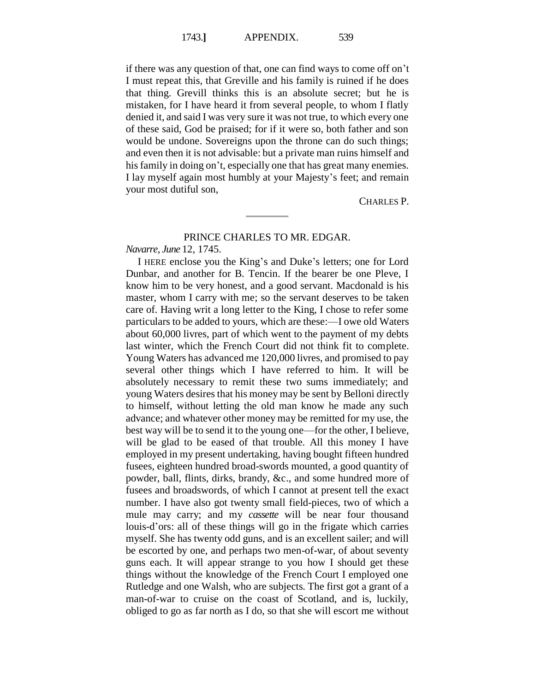if there was any question of that, one can find ways to come off on't I must repeat this, that Greville and his family is ruined if he does that thing. Grevill thinks this is an absolute secret; but he is mistaken, for I have heard it from several people, to whom I flatly denied it, and said I was very sure it was not true, to which every one of these said, God be praised; for if it were so, both father and son would be undone. Sovereigns upon the throne can do such things; and even then it is not advisable: but a private man ruins himself and his family in doing on't, especially one that has great many enemies. I lay myself again most humbly at your Majesty's feet; and remain your most dutiful son,

CHARLES P.

#### PRINCE CHARLES TO MR. EDGAR.

*Navarre, June* 12, 1745.

I HERE enclose you the King's and Duke's letters; one for Lord Dunbar, and another for B. Tencin. If the bearer be one Pleve, I know him to be very honest, and a good servant. Macdonald is his master, whom I carry with me; so the servant deserves to be taken care of. Having writ a long letter to the King, I chose to refer some particulars to be added to yours, which are these:—I owe old Waters about 60,000 livres, part of which went to the payment of my debts last winter, which the French Court did not think fit to complete. Young Waters has advanced me 120,000 livres, and promised to pay several other things which I have referred to him. It will be absolutely necessary to remit these two sums immediately; and young Waters desires that his money may be sent by Belloni directly to himself, without letting the old man know he made any such advance; and whatever other money may be remitted for my use, the best way will be to send it to the young one—for the other, I believe, will be glad to be eased of that trouble. All this money I have employed in my present undertaking, having bought fifteen hundred fusees, eighteen hundred broad-swords mounted, a good quantity of powder, ball, flints, dirks, brandy, &c., and some hundred more of fusees and broadswords, of which I cannot at present tell the exact number. I have also got twenty small field-pieces, two of which a mule may carry; and my *cassette* will be near four thousand louis-d'ors: all of these things will go in the frigate which carries myself. She has twenty odd guns, and is an excellent sailer; and will be escorted by one, and perhaps two men-of-war, of about seventy guns each. It will appear strange to you how I should get these things without the knowledge of the French Court I employed one Rutledge and one Walsh, who are subjects. The first got a grant of a man-of-war to cruise on the coast of Scotland, and is, luckily, obliged to go as far north as I do, so that she will escort me without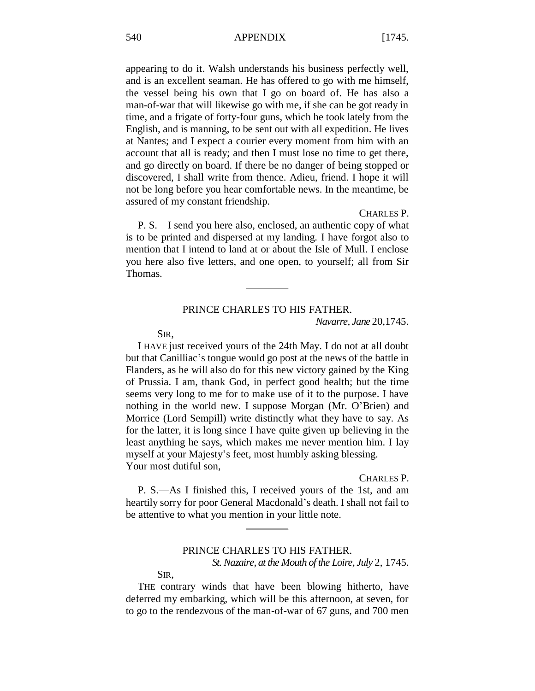appearing to do it. Walsh understands his business perfectly well, and is an excellent seaman. He has offered to go with me himself, the vessel being his own that I go on board of. He has also a man-of-war that will likewise go with me, if she can be got ready in time, and a frigate of forty-four guns, which he took lately from the English, and is manning, to be sent out with all expedition. He lives at Nantes; and I expect a courier every moment from him with an account that all is ready; and then I must lose no time to get there, and go directly on board. If there be no danger of being stopped or discovered, I shall write from thence. Adieu, friend. I hope it will not be long before you hear comfortable news. In the meantime, be assured of my constant friendship.

#### CHARLES P.

P. S.—I send you here also, enclosed, an authentic copy of what is to be printed and dispersed at my landing. I have forgot also to mention that I intend to land at or about the Isle of Mull. I enclose you here also five letters, and one open, to yourself; all from Sir Thomas.

# PRINCE CHARLES TO HIS FATHER.

*Navarre, Jane* 20,1745.

SIR,

I HAVE just received yours of the 24th May. I do not at all doubt but that Canilliac's tongue would go post at the news of the battle in Flanders, as he will also do for this new victory gained by the King of Prussia. I am, thank God, in perfect good health; but the time seems very long to me for to make use of it to the purpose. I have nothing in the world new. I suppose Morgan (Mr. O'Brien) and Morrice (Lord Sempill) write distinctly what they have to say. As for the latter, it is long since I have quite given up believing in the least anything he says, which makes me never mention him. I lay myself at your Majesty's feet, most humbly asking blessing. Your most dutiful son,

#### CHARLES P.

P. S.—As I finished this, I received yours of the 1st, and am heartily sorry for poor General Macdonald's death. I shall not fail to be attentive to what you mention in your little note.

### PRINCE CHARLES TO HIS FATHER. *St. Nazaire, at the Mouth of the Loire, July* 2, 1745.

#### SIR,

THE contrary winds that have been blowing hitherto, have deferred my embarking, which will be this afternoon, at seven, for to go to the rendezvous of the man-of-war of 67 guns, and 700 men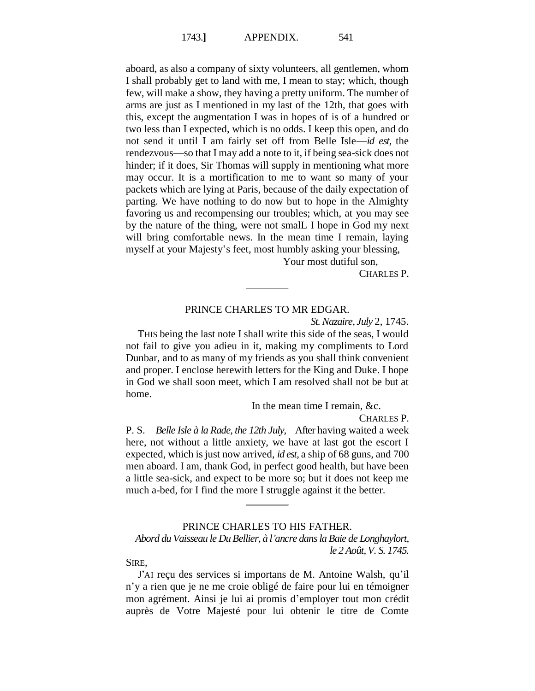aboard, as also a company of sixty volunteers, all gentlemen, whom I shall probably get to land with me, I mean to stay; which, though few, will make a show, they having a pretty uniform. The number of arms are just as I mentioned in my last of the 12th, that goes with this, except the augmentation I was in hopes of is of a hundred or two less than I expected, which is no odds. I keep this open, and do not send it until I am fairly set off from Belle Isle—*id est,* the rendezvous—so that I may add a note to it, if being sea-sick does not hinder; if it does, Sir Thomas will supply in mentioning what more may occur. It is a mortification to me to want so many of your packets which are lying at Paris, because of the daily expectation of parting. We have nothing to do now but to hope in the Almighty favoring us and recompensing our troubles; which, at you may see by the nature of the thing, were not smalL I hope in God my next will bring comfortable news. In the mean time I remain, laying myself at your Majesty's feet, most humbly asking your blessing,

Your most dutiful son,

CHARLES P.

# PRINCE CHARLES TO MR EDGAR.

*St. Nazaire, July* 2, 1745.

THIS being the last note I shall write this side of the seas, I would not fail to give you adieu in it, making my compliments to Lord Dunbar, and to as many of my friends as you shall think convenient and proper. I enclose herewith letters for the King and Duke. I hope in God we shall soon meet, which I am resolved shall not be but at home.

In the mean time I remain, &c.

CHARLES P.

P. S.—*Belle Isle à la Rade, the 12th July,—*After having waited a week here, not without a little anxiety, we have at last got the escort I expected, which is just now arrived, *id est,* a ship of 68 guns, and 700 men aboard. I am, thank God, in perfect good health, but have been a little sea-sick, and expect to be more so; but it does not keep me much a-bed, for I find the more I struggle against it the better.

### PRINCE CHARLES TO HIS FATHER.

*Abord du Vaisseau le Du Bellier, à l'ancre dans la Baie de Longhaylort, le 2 Août, V. S. 1745.*

#### SIRE,

J'AI reçu des services si importans de M. Antoine Walsh, qu'il n'y a rien que je ne me croie obligé de faire pour lui en témoigner mon agrément. Ainsi je lui ai promis d'employer tout mon crédit auprès de Votre Majesté pour lui obtenir le titre de Comte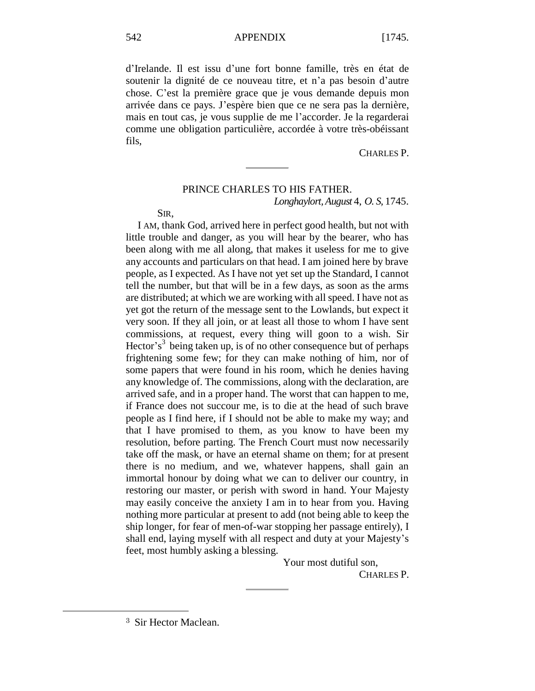d'Irelande. Il est issu d'une fort bonne famille, très en état de soutenir la dignité de ce nouveau titre, et n'a pas besoin d'autre chose. C'est la première grace que je vous demande depuis mon arrivée dans ce pays. J'espère bien que ce ne sera pas la dernière, mais en tout cas, je vous supplie de me l'accorder. Je la regarderai comme une obligation particulière, accordée à votre très-obéissant fils,

CHARLES P.

# PRINCE CHARLES TO HIS FATHER. *Longhaylort, August* 4, *O. S,* 1745.

SIR,

I AM, thank God, arrived here in perfect good health, but not with little trouble and danger, as you will hear by the bearer, who has been along with me all along, that makes it useless for me to give any accounts and particulars on that head. I am joined here by brave people, as I expected. As I have not yet set up the Standard, I cannot tell the number, but that will be in a few days, as soon as the arms are distributed; at which we are working with all speed. I have not as yet got the return of the message sent to the Lowlands, but expect it very soon. If they all join, or at least all those to whom I have sent commissions, at request, every thing will goon to a wish. Sir Hector's<sup>3</sup> being taken up, is of no other consequence but of perhaps frightening some few; for they can make nothing of him, nor of some papers that were found in his room, which he denies having any knowledge of. The commissions, along with the declaration, are arrived safe, and in a proper hand. The worst that can happen to me, if France does not succour me, is to die at the head of such brave people as I find here, if I should not be able to make my way; and that I have promised to them, as you know to have been my resolution, before parting. The French Court must now necessarily take off the mask, or have an eternal shame on them; for at present there is no medium, and we, whatever happens, shall gain an immortal honour by doing what we can to deliver our country, in restoring our master, or perish with sword in hand. Your Majesty may easily conceive the anxiety I am in to hear from you. Having nothing more particular at present to add (not being able to keep the ship longer, for fear of men-of-war stopping her passage entirely), I shall end, laying myself with all respect and duty at your Majesty's feet, most humbly asking a blessing.

Your most dutiful son,

CHARLES P.

 $\overline{a}$ 

<sup>3</sup> Sir Hector Maclean.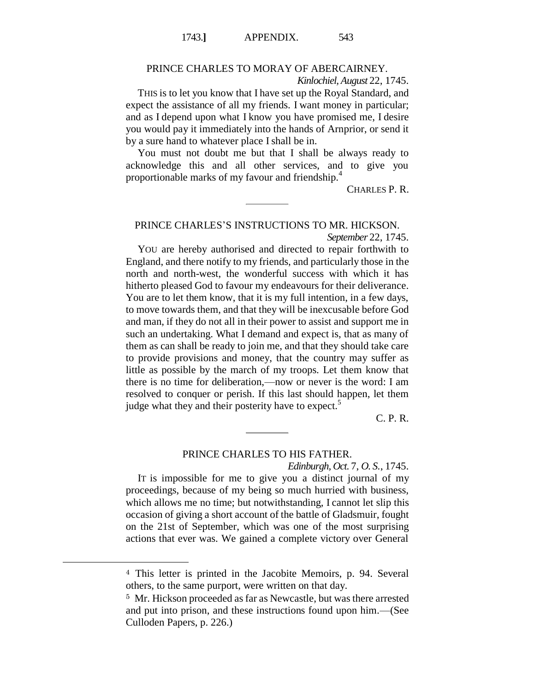# PRINCE CHARLES TO MORAY OF ABERCAIRNEY.

*Kinlochiel, August* 22, 1745.

THIS is to let you know that I have set up the Royal Standard, and expect the assistance of all my friends. I want money in particular; and as I depend upon what I know you have promised me, I desire you would pay it immediately into the hands of Arnprior, or send it by a sure hand to whatever place Ishall be in.

You must not doubt me but that I shall be always ready to acknowledge this and all other services, and to give you proportionable marks of my favour and friendship.<sup>4</sup>

CHARLES P. R.

# PRINCE CHARLES'S INSTRUCTIONS TO MR. HICKSON. *September* 22, 1745.

YOU are hereby authorised and directed to repair forthwith to England, and there notify to my friends, and particularly those in the north and north-west, the wonderful success with which it has hitherto pleased God to favour my endeavours for their deliverance. You are to let them know, that it is my full intention, in a few days, to move towards them, and that they will be inexcusable before God and man, if they do not all in their power to assist and support me in such an undertaking. What I demand and expect is, that as many of them as can shall be ready to join me, and that they should take care to provide provisions and money, that the country may suffer as little as possible by the march of my troops. Let them know that there is no time for deliberation,—now or never is the word: I am resolved to conquer or perish. If this last should happen, let them judge what they and their posterity have to expect.<sup>5</sup>

C. P. R.

#### PRINCE CHARLES TO HIS FATHER.

#### *Edinburgh, Oct.* 7, *O. S.*, 1745.

IT is impossible for me to give you a distinct journal of my proceedings, because of my being so much hurried with business, which allows me no time; but notwithstanding, I cannot let slip this occasion of giving a short account of the battle of Gladsmuir, fought on the 21st of September, which was one of the most surprising actions that ever was. We gained a complete victory over General

l

<sup>4</sup> This letter is printed in the Jacobite Memoirs, p. 94. Several others, to the same purport, were written on that day.

<sup>5</sup> Mr. Hickson proceeded as far as Newcastle, but was there arrested and put into prison, and these instructions found upon him.—(See Culloden Papers, p. 226.)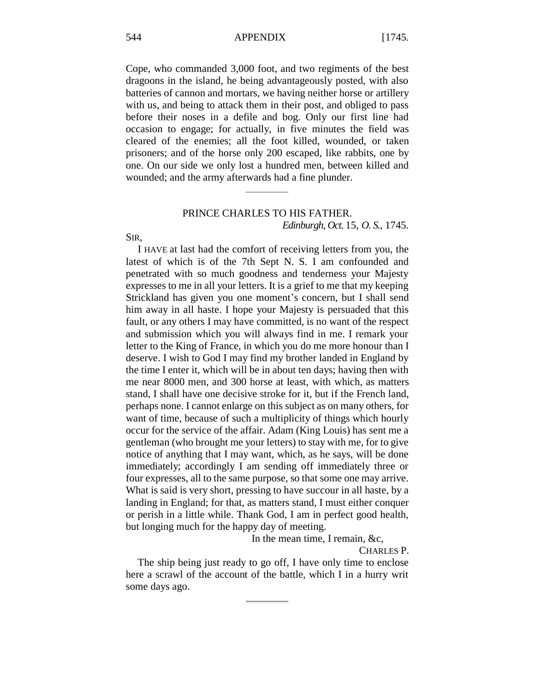#### 544 **APPENDIX** [1745.]

Cope, who commanded 3,000 foot, and two regiments of the best dragoons in the island, he being advantageously posted, with also batteries of cannon and mortars, we having neither horse or artillery with us, and being to attack them in their post, and obliged to pass before their noses in a defile and bog. Only our first line had occasion to engage; for actually, in five minutes the field was cleared of the enemies; all the foot killed, wounded, or taken prisoners; and of the horse only 200 escaped, like rabbits, one by one. On our side we only lost a hundred men, between killed and wounded; and the army afterwards had a fine plunder.

# PRINCE CHARLES TO HIS FATHER.

*Edinburgh, Oct.* 15, *O. S.*, 1745.

SIR,

I HAVE at last had the comfort of receiving letters from you, the latest of which is of the 7th Sept N. S. I am confounded and penetrated with so much goodness and tenderness your Majesty expresses to me in all your letters. It is a grief to me that my keeping Strickland has given you one moment's concern, but I shall send him away in all haste. I hope your Majesty is persuaded that this fault, or any others I may have committed, is no want of the respect and submission which you will always find in me. I remark your letter to the King of France, in which you do me more honour than I deserve. I wish to God I may find my brother landed in England by the time I enter it, which will be in about ten days; having then with me near 8000 men, and 300 horse at least, with which, as matters stand, I shall have one decisive stroke for it, but if the French land, perhaps none. I cannot enlarge on this subject as on many others, for want of time, because of such a multiplicity of things which hourly occur for the service of the affair. Adam (King Louis) has sent me a gentleman (who brought me your letters) to stay with me, for to give notice of anything that I may want, which, as he says, will be done immediately; accordingly I am sending off immediately three or four expresses, all to the same purpose, so that some one may arrive. What is said is very short, pressing to have succour in all haste, by a landing in England; for that, as matters stand, I must either conquer or perish in a little while. Thank God, I am in perfect good health, but longing much for the happy day of meeting.

In the mean time, I remain, &c,

CHARLES P.

The ship being just ready to go off, I have only time to enclose here a scrawl of the account of the battle, which I in a hurry writ some days ago.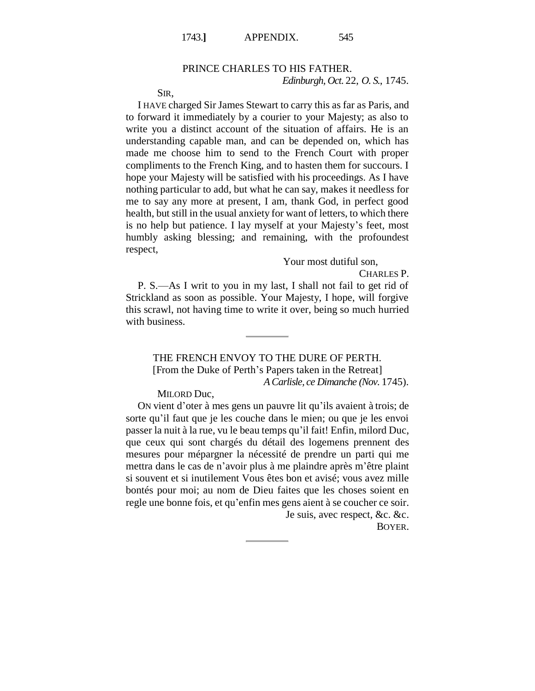#### PRINCE CHARLES TO HIS FATHER.

### *Edinburgh, Oct.* 22, *O. S.*, 1745.

SIR,

I HAVE charged Sir James Stewart to carry this as far as Paris, and to forward it immediately by a courier to your Majesty; as also to write you a distinct account of the situation of affairs. He is an understanding capable man, and can be depended on, which has made me choose him to send to the French Court with proper compliments to the French King, and to hasten them for succours. I hope your Majesty will be satisfied with his proceedings. As I have nothing particular to add, but what he can say, makes it needless for me to say any more at present, I am, thank God, in perfect good health, but still in the usual anxiety for want of letters, to which there is no help but patience. I lay myself at your Majesty's feet, most humbly asking blessing; and remaining, with the profoundest respect,

Your most dutiful son,

CHARLES P.

P. S.—As I writ to you in my last, I shall not fail to get rid of Strickland as soon as possible. Your Majesty, I hope, will forgive this scrawl, not having time to write it over, being so much hurried with business.

# THE FRENCH ENVOY TO THE DURE OF PERTH. [From the Duke of Perth's Papers taken in the Retreat] *A Carlisle, ce Dimanche (Nov.* 1745).

MILORD Duc,

ON vient d'oter à mes gens un pauvre lit qu'ils avaient à trois; de sorte qu'il faut que je les couche dans le mien; ou que je les envoi passer la nuit à la rue, vu le beau temps qu'il fait! Enfin, milord Duc, que ceux qui sont chargés du détail des logemens prennent des mesures pour mépargner la nécessité de prendre un parti qui me mettra dans le cas de n'avoir plus à me plaindre après m'être plaint si souvent et si inutilement Vous êtes bon et avisé; vous avez mille bontés pour moi; au nom de Dieu faites que les choses soient en regle une bonne fois, et qu'enfin mes gens aient à se coucher ce soir. Je suis, avec respect, &c. &c.

BOYER.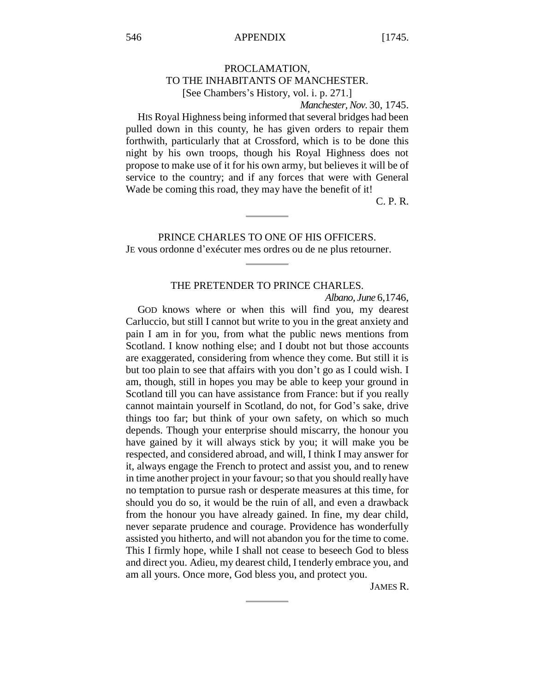#### 546 APPENDIX [1745.]

# PROCLAMATION, TO THE INHABITANTS OF MANCHESTER. [See Chambers's History, vol. i. p. 271.]

*Manchester, Nov.* 30, 1745.

HIS Royal Highness being informed that several bridges had been pulled down in this county, he has given orders to repair them forthwith, particularly that at Crossford, which is to be done this night by his own troops, though his Royal Highness does not propose to make use of it for his own army, but believes it will be of service to the country; and if any forces that were with General Wade be coming this road, they may have the benefit of it!

C. P. R.

PRINCE CHARLES TO ONE OF HIS OFFICERS. JE vous ordonne d'exécuter mes ordres ou de ne plus retourner.

#### THE PRETENDER TO PRINCE CHARLES.

*Albano, June* 6,1746,

GOD knows where or when this will find you, my dearest Carluccio, but still I cannot but write to you in the great anxiety and pain I am in for you, from what the public news mentions from Scotland. I know nothing else; and I doubt not but those accounts are exaggerated, considering from whence they come. But still it is but too plain to see that affairs with you don't go as I could wish. I am, though, still in hopes you may be able to keep your ground in Scotland till you can have assistance from France: but if you really cannot maintain yourself in Scotland, do not, for God's sake, drive things too far; but think of your own safety, on which so much depends. Though your enterprise should miscarry, the honour you have gained by it will always stick by you; it will make you be respected, and considered abroad, and will, I think I may answer for it, always engage the French to protect and assist you, and to renew in time another project in your favour; so that you should really have no temptation to pursue rash or desperate measures at this time, for should you do so, it would be the ruin of all, and even a drawback from the honour you have already gained. In fine, my dear child, never separate prudence and courage. Providence has wonderfully assisted you hitherto, and will not abandon you for the time to come. This I firmly hope, while I shall not cease to beseech God to bless and direct you. Adieu, my dearest child, I tenderly embrace you, and am all yours. Once more, God bless you, and protect you.

JAMES R.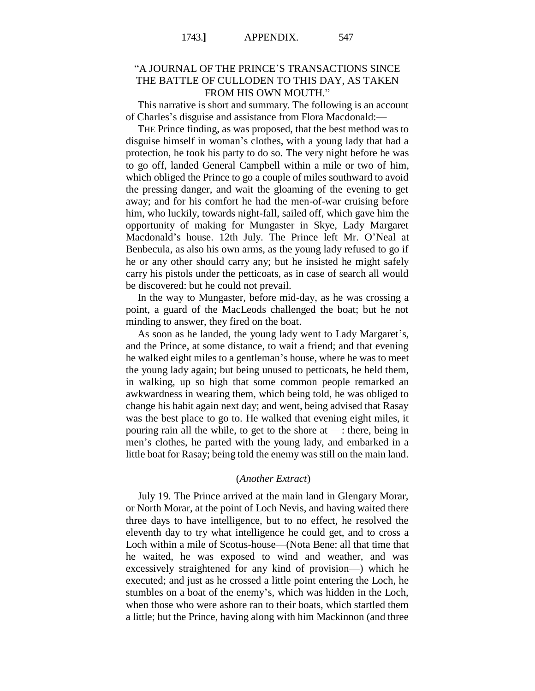# "A JOURNAL OF THE PRINCE'S TRANSACTIONS SINCE THE BATTLE OF CULLODEN TO THIS DAY, AS TAKEN FROM HIS OWN MOUTH."

This narrative is short and summary. The following is an account of Charles's disguise and assistance from Flora Macdonald:—

THE Prince finding, as was proposed, that the best method was to disguise himself in woman's clothes, with a young lady that had a protection, he took his party to do so. The very night before he was to go off, landed General Campbell within a mile or two of him, which obliged the Prince to go a couple of miles southward to avoid the pressing danger, and wait the gloaming of the evening to get away; and for his comfort he had the men-of-war cruising before him, who luckily, towards night-fall, sailed off, which gave him the opportunity of making for Mungaster in Skye, Lady Margaret Macdonald's house. 12th July. The Prince left Mr. O'Neal at Benbecula, as also his own arms, as the young lady refused to go if he or any other should carry any; but he insisted he might safely carry his pistols under the petticoats, as in case of search all would be discovered: but he could not prevail.

In the way to Mungaster, before mid-day, as he was crossing a point, a guard of the MacLeods challenged the boat; but he not minding to answer, they fired on the boat.

As soon as he landed, the young lady went to Lady Margaret's, and the Prince, at some distance, to wait a friend; and that evening he walked eight miles to a gentleman's house, where he was to meet the young lady again; but being unused to petticoats, he held them, in walking, up so high that some common people remarked an awkwardness in wearing them, which being told, he was obliged to change his habit again next day; and went, being advised that Rasay was the best place to go to. He walked that evening eight miles, it pouring rain all the while, to get to the shore at —: there, being in men's clothes, he parted with the young lady, and embarked in a little boat for Rasay; being told the enemy was still on the main land.

#### (*Another Extract*)

July 19. The Prince arrived at the main land in Glengary Morar, or North Morar, at the point of Loch Nevis, and having waited there three days to have intelligence, but to no effect, he resolved the eleventh day to try what intelligence he could get, and to cross a Loch within a mile of Scotus-house—(Nota Bene: all that time that he waited, he was exposed to wind and weather, and was excessively straightened for any kind of provision—) which he executed; and just as he crossed a little point entering the Loch, he stumbles on a boat of the enemy's, which was hidden in the Loch, when those who were ashore ran to their boats, which startled them a little; but the Prince, having along with him Mackinnon (and three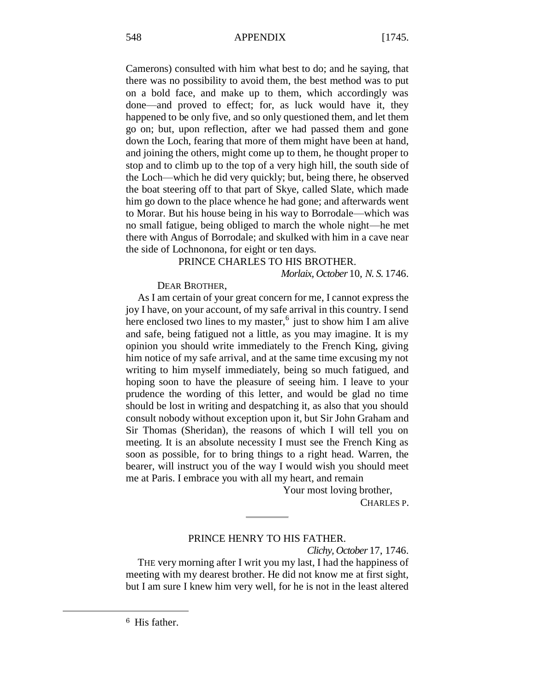Camerons) consulted with him what best to do; and he saying, that there was no possibility to avoid them, the best method was to put on a bold face, and make up to them, which accordingly was done—and proved to effect; for, as luck would have it, they happened to be only five, and so only questioned them, and let them go on; but, upon reflection, after we had passed them and gone down the Loch, fearing that more of them might have been at hand, and joining the others, might come up to them, he thought proper to stop and to climb up to the top of a very high hill, the south side of the Loch—which he did very quickly; but, being there, he observed the boat steering off to that part of Skye, called Slate, which made him go down to the place whence he had gone; and afterwards went to Morar. But his house being in his way to Borrodale—which was no small fatigue, being obliged to march the whole night—he met there with Angus of Borrodale; and skulked with him in a cave near the side of Lochnonona, for eight or ten days.

### PRINCE CHARLES TO HIS BROTHER.

*Morlaix, October* 10, *N. S.* 1746.

#### DEAR BROTHER,

As I am certain of your great concern for me, I cannot express the joy I have, on your account, of my safe arrival in this country. I send here enclosed two lines to my master,<sup>6</sup> just to show him I am alive and safe, being fatigued not a little, as you may imagine. It is my opinion you should write immediately to the French King, giving him notice of my safe arrival, and at the same time excusing my not writing to him myself immediately, being so much fatigued, and hoping soon to have the pleasure of seeing him. I leave to your prudence the wording of this letter, and would be glad no time should be lost in writing and despatching it, as also that you should consult nobody without exception upon it, but Sir John Graham and Sir Thomas (Sheridan), the reasons of which I will tell you on meeting. It is an absolute necessity I must see the French King as soon as possible, for to bring things to a right head. Warren, the bearer, will instruct you of the way I would wish you should meet me at Paris. I embrace you with all my heart, and remain

Your most loving brother,

CHARLES P.

# PRINCE HENRY TO HIS FATHER.

*Clichy, October* 17, 1746.

THE very morning after I writ you my last, I had the happiness of meeting with my dearest brother. He did not know me at first sight, but I am sure I knew him very well, for he is not in the least altered

 $\overline{a}$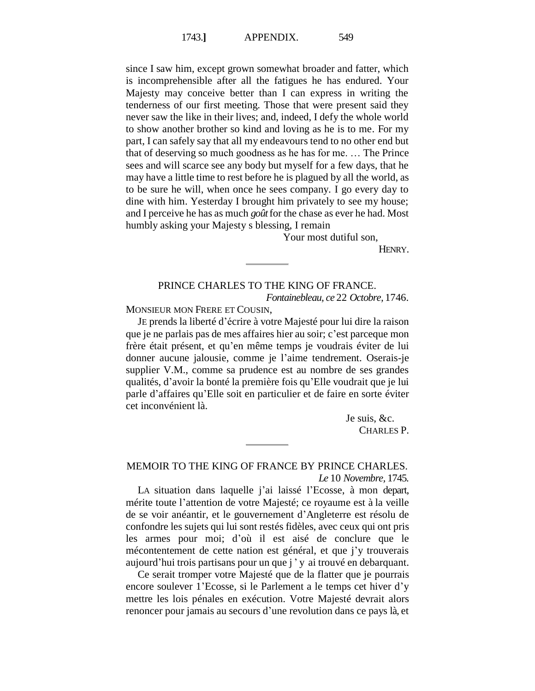since I saw him, except grown somewhat broader and fatter, which is incomprehensible after all the fatigues he has endured. Your Majesty may conceive better than I can express in writing the tenderness of our first meeting. Those that were present said they never saw the like in their lives; and, indeed, I defy the whole world to show another brother so kind and loving as he is to me. For my part, I can safely say that all my endeavours tend to no other end but that of deserving so much goodness as he has for me. … The Prince sees and will scarce see any body but myself for a few days, that he may have a little time to rest before he is plagued by all the world, as to be sure he will, when once he sees company. I go every day to dine with him. Yesterday I brought him privately to see my house; and I perceive he has as much *goût* for the chase as ever he had. Most humbly asking your Majesty s blessing, I remain

Your most dutiful son,

HENRY.

# PRINCE CHARLES TO THE KING OF FRANCE.

*Fontainebleau, ce* 22 *Octobre,* 1746.

MONSIEUR MON FRERE ET COUSIN,

JE prends la liberté d'écrire à votre Majesté pour lui dire la raison que je ne parlais pas de mes affaires hier au soir; c'est parceque mon frère était présent, et qu'en même temps je voudrais éviter de lui donner aucune jalousie, comme je l'aime tendrement. Oserais-je supplier V.M., comme sa prudence est au nombre de ses grandes qualités, d'avoir la bonté la première fois qu'Elle voudrait que je lui parle d'affaires qu'Elle soit en particulier et de faire en sorte éviter cet inconvénient là.

> Je suis, &c. CHARLES P.

# MEMOIR TO THE KING OF FRANCE BY PRINCE CHARLES. *Le* 10 *Novembre,* 1745*.*

LA situation dans laquelle j'ai laissé l'Ecosse, à mon depart, mérite toute l'attention de votre Majesté; ce royaume est à la veille de se voir anéantir, et le gouvernement d'Angleterre est résolu de confondre les sujets qui lui sont restés fidèles, avec ceux qui ont pris les armes pour moi; d'où il est aisé de conclure que le mécontentement de cette nation est général, et que j'y trouverais aujourd'hui trois partisans pour un que j ' y ai trouvé en debarquant.

Ce serait tromper votre Majesté que de la flatter que je pourrais encore soulever 1'Ecosse, si le Parlement a le temps cet hiver d'y mettre les lois pénales en exécution. Votre Majesté devrait alors renoncer pour jamais au secours d'une revolution dans ce pays là*,* et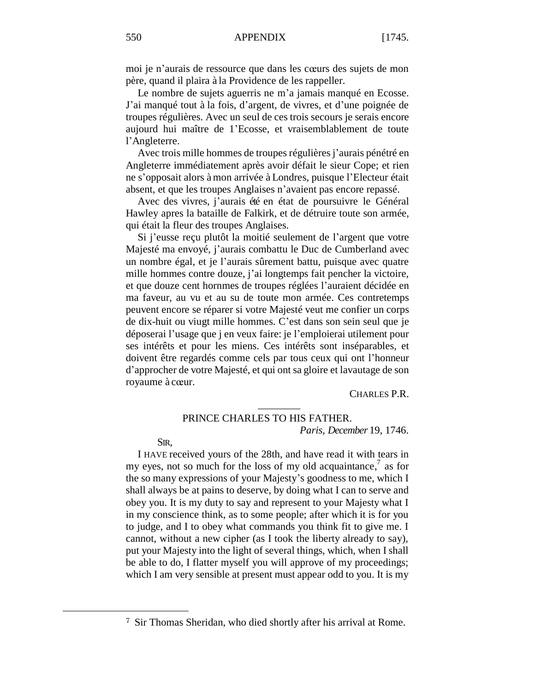moi je n'aurais de ressource que dans les cœurs des sujets de mon père, quand il plaira à la Providence de les rappeller.

Le nombre de sujets aguerris ne m'a jamais manqué en Ecosse. J'ai manqué tout à la fois, d'argent, de vivres, et d'une poignée de troupes régulières. Avec un seul de ces trois secours je serais encore aujourd hui maître de 1'Ecosse, et vraisemblablement de toute l'Angleterre.

Avec trois mille hommes de troupes régulières j'aurais pénétré en Angleterre immédiatement après avoir défait le sieur Cope; et rien ne s'opposait alors à mon arrivée à Londres, puisque l'Electeur était absent, et que les troupes Anglaises n'avaient pas encore repassé.

Avec des vivres, j'aurais été en état de poursuivre le Général Hawley apres la bataille de Falkirk, et de détruire toute son armée, qui était la fleur des troupes Anglaises.

Si j'eusse reçu plutôt la moitié seulement de l'argent que votre Majesté ma envoyé, j'aurais combattu le Duc de Cumberland avec un nombre égal, et je l'aurais sûrement battu, puisque avec quatre mille hommes contre douze, j'ai longtemps fait pencher la victoire, et que douze cent hornmes de troupes réglées l'auraient décidée en ma faveur, au vu et au su de toute mon armée. Ces contretemps peuvent encore se réparer si votre Majesté veut me confier un corps de dix-huit ou viugt mille hommes. C'est dans son sein seul que je déposerai l'usage que j en veux faire: je l'emploierai utilement pour ses intérêts et pour les miens. Ces intérêts sont inséparables, et doivent être regardés comme cels par tous ceux qui ont l'honneur d'approcher de votre Majesté, et qui ont sa gloire et lavautage de son royaume à cœur.

CHARLES P.R.

# PRINCE CHARLES TO HIS FATHER.

*Paris*, *December* 19, 1746.

SIR,

 $\overline{a}$ 

I HAVE received yours of the 28th, and have read it with tears in my eyes, not so much for the loss of my old acquaintance, $\frac{7}{1}$  as for the so many expressions of your Majesty's goodness to me, which I shall always be at pains to deserve, by doing what I can to serve and obey you. It is my duty to say and represent to your Majesty what I in my conscience think, as to some people; after which it is for you to judge, and I to obey what commands you think fit to give me. I cannot, without a new cipher (as I took the liberty already to say), put your Majesty into the light of several things, which, when I shall be able to do, I flatter myself you will approve of my proceedings; which I am very sensible at present must appear odd to you. It is my

<sup>7</sup> Sir Thomas Sheridan, who died shortly after his arrival at Rome.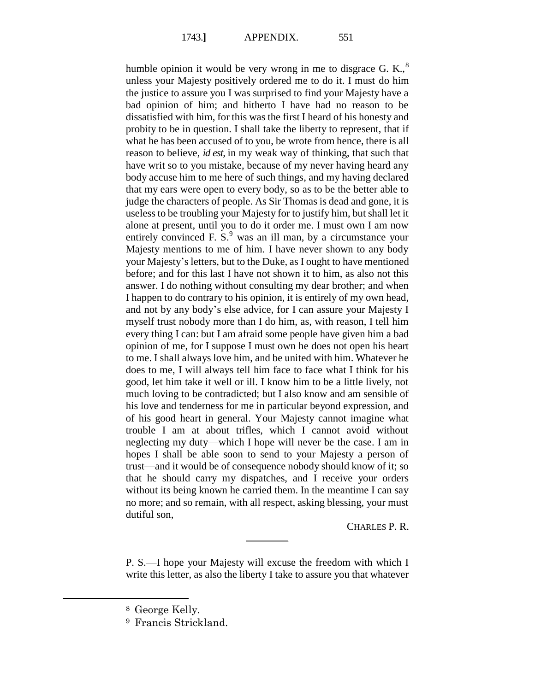humble opinion it would be very wrong in me to disgrace G. K., $8$ unless your Majesty positively ordered me to do it. I must do him the justice to assure you I was surprised to find your Majesty have a bad opinion of him; and hitherto I have had no reason to be dissatisfied with him, for this was the first I heard of his honesty and probity to be in question. I shall take the liberty to represent, that if what he has been accused of to you, be wrote from hence, there is all reason to believe, *id est,* in my weak way of thinking, that such that have writ so to you mistake, because of my never having heard any body accuse him to me here of such things, and my having declared that my ears were open to every body, so as to be the better able to judge the characters of people. As Sir Thomas is dead and gone, it is useless to be troubling your Majesty for to justify him, but shall let it alone at present, until you to do it order me. I must own I am now entirely convinced F.  $S^9$  was an ill man, by a circumstance your Majesty mentions to me of him. I have never shown to any body your Majesty's letters, but to the Duke, as I ought to have mentioned before; and for this last I have not shown it to him, as also not this answer. I do nothing without consulting my dear brother; and when I happen to do contrary to his opinion, it is entirely of my own head, and not by any body's else advice, for I can assure your Majesty I myself trust nobody more than I do him, as, with reason, I tell him every thing I can: but I am afraid some people have given him a bad opinion of me, for I suppose I must own he does not open his heart to me. I shall always love him, and be united with him. Whatever he does to me, I will always tell him face to face what I think for his good, let him take it well or ill. I know him to be a little lively, not much loving to be contradicted; but I also know and am sensible of his love and tenderness for me in particular beyond expression, and of his good heart in general. Your Majesty cannot imagine what trouble I am at about trifles, which I cannot avoid without neglecting my duty—which I hope will never be the case. I am in hopes I shall be able soon to send to your Majesty a person of trust—and it would be of consequence nobody should know of it; so that he should carry my dispatches, and I receive your orders without its being known he carried them. In the meantime I can say no more; and so remain, with all respect, asking blessing, your must dutiful son,

CHARLES P. R.

P. S.—I hope your Majesty will excuse the freedom with which I write this letter, as also the liberty I take to assure you that whatever

 $\overline{a}$ 

<sup>8</sup> George Kelly.

<sup>9</sup> Francis Strickland.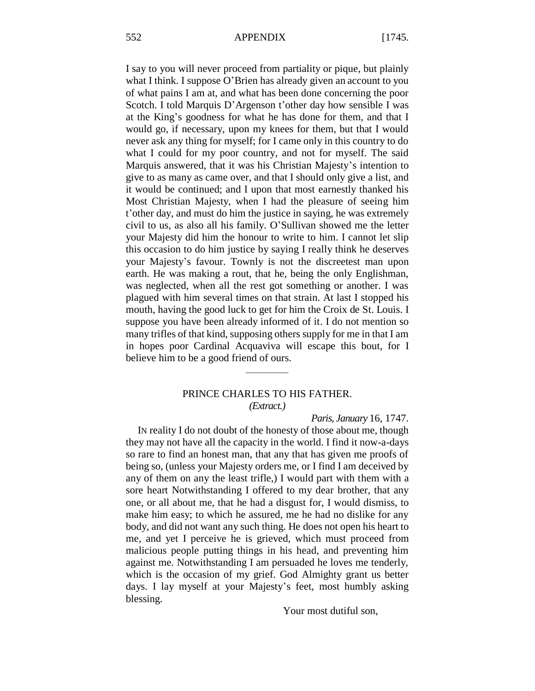I say to you will never proceed from partiality or pique, but plainly what I think. I suppose O'Brien has already given an account to you of what pains I am at, and what has been done concerning the poor Scotch. I told Marquis D'Argenson t'other day how sensible I was at the King's goodness for what he has done for them, and that I would go, if necessary, upon my knees for them, but that I would never ask any thing for myself; for I came only in this country to do what I could for my poor country, and not for myself. The said Marquis answered, that it was his Christian Majesty's intention to give to as many as came over, and that I should only give a list, and it would be continued; and I upon that most earnestly thanked his Most Christian Majesty, when I had the pleasure of seeing him t'other day, and must do him the justice in saying, he was extremely civil to us, as also all his family. O'Sullivan showed me the letter your Majesty did him the honour to write to him. I cannot let slip this occasion to do him justice by saying I really think he deserves your Majesty's favour. Townly is not the discreetest man upon earth. He was making a rout, that he, being the only Englishman, was neglected, when all the rest got something or another. I was plagued with him several times on that strain. At last I stopped his mouth, having the good luck to get for him the Croix de St. Louis. I suppose you have been already informed of it. I do not mention so many trifles of that kind, supposing others supply for me in that I am in hopes poor Cardinal Acquaviva will escape this bout, for I believe him to be a good friend of ours.

# PRINCE CHARLES TO HIS FATHER. *(Extract.)*

*Paris, January* 16, 1747.

IN reality I do not doubt of the honesty of those about me, though they may not have all the capacity in the world. I find it now-a-days so rare to find an honest man, that any that has given me proofs of being so, (unless your Majesty orders me, or I find I am deceived by any of them on any the least trifle,) I would part with them with a sore heart Notwithstanding I offered to my dear brother, that any one, or all about me, that he had a disgust for, I would dismiss, to make him easy; to which he assured, me he had no dislike for any body, and did not want any such thing. He does not open his heart to me, and yet I perceive he is grieved, which must proceed from malicious people putting things in his head, and preventing him against me. Notwithstanding I am persuaded he loves me tenderly, which is the occasion of my grief. God Almighty grant us better days. I lay myself at your Majesty's feet, most humbly asking blessing.

Your most dutiful son,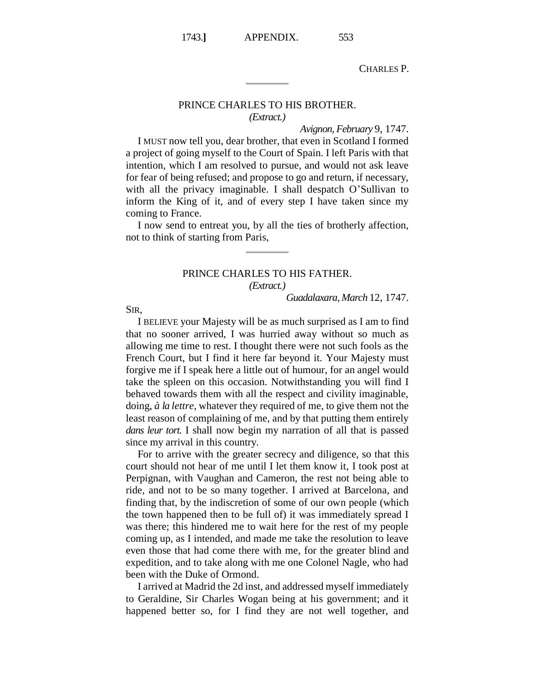CHARLES P.

# PRINCE CHARLES TO HIS BROTHER. *(Extract.)*

*Avignon, February* 9, 1747.

I MUST now tell you, dear brother, that even in Scotland I formed a project of going myself to the Court of Spain. I left Paris with that intention, which I am resolved to pursue, and would not ask leave for fear of being refused; and propose to go and return, if necessary, with all the privacy imaginable. I shall despatch O'Sullivan to inform the King of it, and of every step I have taken since my coming to France.

I now send to entreat you, by all the ties of brotherly affection, not to think of starting from Paris,

# PRINCE CHARLES TO HIS FATHER.

*(Extract.)*

*Guadalaxara, March* 12, 1747.

SIR,

I BELIEVE your Majesty will be as much surprised as I am to find that no sooner arrived, I was hurried away without so much as allowing me time to rest. I thought there were not such fools as the French Court, but I find it here far beyond it. Your Majesty must forgive me if I speak here a little out of humour, for an angel would take the spleen on this occasion. Notwithstanding you will find I behaved towards them with all the respect and civility imaginable, doing, *à la lettre*, whatever they required of me, to give them not the least reason of complaining of me, and by that putting them entirely *dans leur tort.* I shall now begin my narration of all that is passed since my arrival in this country.

For to arrive with the greater secrecy and diligence, so that this court should not hear of me until I let them know it, I took post at Perpignan, with Vaughan and Cameron, the rest not being able to ride, and not to be so many together. I arrived at Barcelona, and finding that, by the indiscretion of some of our own people (which the town happened then to be full of) it was immediately spread I was there; this hindered me to wait here for the rest of my people coming up, as I intended, and made me take the resolution to leave even those that had come there with me, for the greater blind and expedition, and to take along with me one Colonel Nagle, who had been with the Duke of Ormond.

I arrived at Madrid the 2d inst, and addressed myself immediately to Geraldine, Sir Charles Wogan being at his government; and it happened better so, for I find they are not well together, and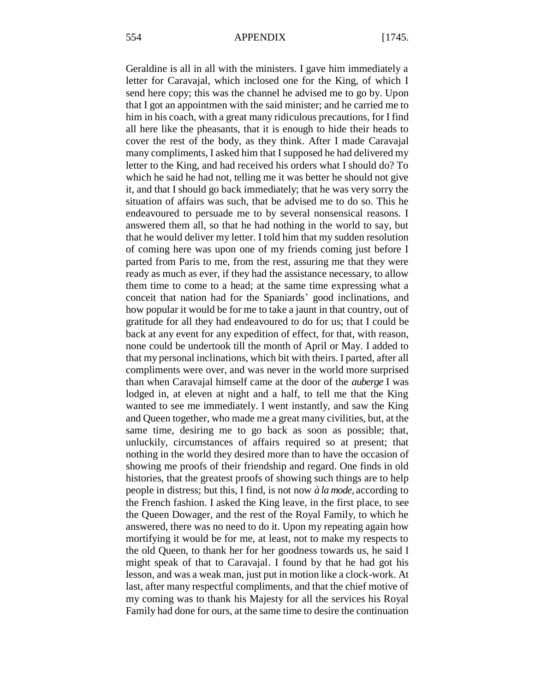554 APPENDIX [1745.

Geraldine is all in all with the ministers. I gave him immediately a letter for Caravajal, which inclosed one for the King, of which I send here copy; this was the channel he advised me to go by. Upon that I got an appointmen with the said minister; and he carried me to him in his coach, with a great many ridiculous precautions, for I find all here like the pheasants, that it is enough to hide their heads to cover the rest of the body, as they think. After I made Caravajal many compliments, I asked him that I supposed he had delivered my letter to the King, and had received his orders what I should do? To which he said he had not, telling me it was better he should not give it, and that I should go back immediately; that he was very sorry the situation of affairs was such, that be advised me to do so. This he endeavoured to persuade me to by several nonsensical reasons. I answered them all, so that he had nothing in the world to say, but that he would deliver my letter. I told him that my sudden resolution of coming here was upon one of my friends coming just before I parted from Paris to me, from the rest, assuring me that they were ready as much as ever, if they had the assistance necessary, to allow them time to come to a head; at the same time expressing what a conceit that nation had for the Spaniards' good inclinations, and how popular it would be for me to take a jaunt in that country, out of gratitude for all they had endeavoured to do for us; that I could be back at any event for any expedition of effect, for that, with reason, none could be undertook till the month of April or May. I added to that my personal inclinations, which bit with theirs. I parted, after all compliments were over, and was never in the world more surprised than when Caravajal himself came at the door of the *auberge* I was lodged in, at eleven at night and a half, to tell me that the King wanted to see me immediately. I went instantly, and saw the King and Queen together, who made me a great many civilities, but, at the same time, desiring me to go back as soon as possible; that, unluckily, circumstances of affairs required so at present; that nothing in the world they desired more than to have the occasion of showing me proofs of their friendship and regard. One finds in old histories, that the greatest proofs of showing such things are to help people in distress; but this, I find, is not now *à la mode,* according to the French fashion. I asked the King leave, in the first place, to see the Queen Dowager, and the rest of the Royal Family, to which he answered, there was no need to do it. Upon my repeating again how mortifying it would be for me, at least, not to make my respects to the old Queen, to thank her for her goodness towards us, he said I might speak of that to Caravajal. I found by that he had got his lesson, and was a weak man, just put in motion like a clock-work. At last, after many respectful compliments, and that the chief motive of my coming was to thank his Majesty for all the services his Royal Family had done for ours, at the same time to desire the continuation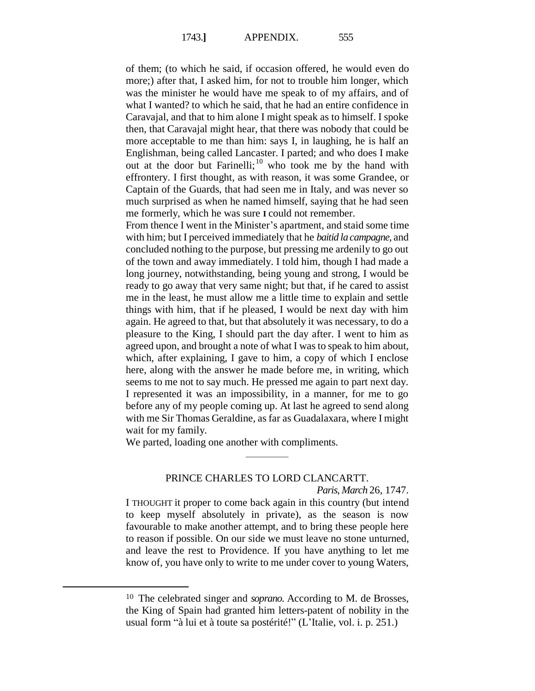of them; (to which he said, if occasion offered, he would even do more;) after that, I asked him, for not to trouble him longer, which was the minister he would have me speak to of my affairs, and of what I wanted? to which he said, that he had an entire confidence in Caravajal, and that to him alone I might speak as to himself. I spoke then, that Caravajal might hear, that there was nobody that could be more acceptable to me than him: says I, in laughing, he is half an Englishman, being called Lancaster. I parted; and who does I make out at the door but Farinelli;<sup>10</sup> who took me by the hand with effrontery. I first thought, as with reason, it was some Grandee, or Captain of the Guards, that had seen me in Italy, and was never so much surprised as when he named himself, saying that he had seen me formerly, which he was sure **I** could not remember.

From thence I went in the Minister's apartment, and staid some time with him; but I perceived immediately that he *baitid la campagne,* and concluded nothing to the purpose, but pressing me ardenily to go out of the town and away immediately. I told him, though I had made a long journey, notwithstanding, being young and strong, I would be ready to go away that very same night; but that, if he cared to assist me in the least, he must allow me a little time to explain and settle things with him, that if he pleased, I would be next day with him again. He agreed to that, but that absolutely it was necessary, to do a pleasure to the King, I should part the day after. I went to him as agreed upon, and brought a note of what I was to speak to him about, which, after explaining, I gave to him, a copy of which I enclose here, along with the answer he made before me, in writing, which seems to me not to say much. He pressed me again to part next day. I represented it was an impossibility, in a manner, for me to go before any of my people coming up. At last he agreed to send along with me Sir Thomas Geraldine, as far as Guadalaxara, where I might wait for my family.

We parted, loading one another with compliments.

l

### PRINCE CHARLES TO LORD CLANCARTT.

*Paris, March* 26, 1747.

I THOUGHT it proper to come back again in this country (but intend to keep myself absolutely in private), as the season is now favourable to make another attempt, and to bring these people here to reason if possible. On our side we must leave no stone unturned, and leave the rest to Providence. If you have anything to let me know of, you have only to write to me under cover to young Waters,

<sup>10</sup> The celebrated singer and *soprano.* According to M. de Brosses, the King of Spain had granted him letters-patent of nobility in the usual form "à lui et à toute sa postérité!" (L'Italie, vol. i. p. 251.)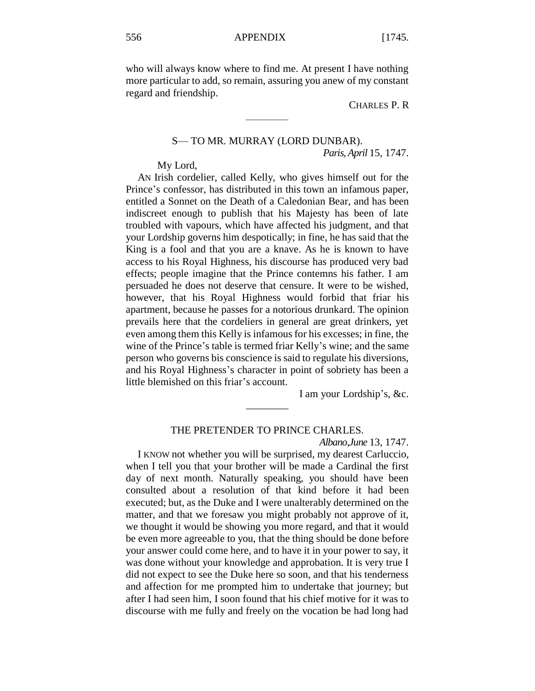who will always know where to find me. At present I have nothing more particular to add, so remain, assuring you anew of my constant regard and friendship.

CHARLES P. R

# S— TO MR. MURRAY (LORD DUNBAR). *Paris, April* 15, 1747.

My Lord,

AN Irish cordelier, called Kelly, who gives himself out for the Prince's confessor, has distributed in this town an infamous paper, entitled a Sonnet on the Death of a Caledonian Bear, and has been indiscreet enough to publish that his Majesty has been of late troubled with vapours, which have affected his judgment, and that your Lordship governs him despotically; in fine, he has said that the King is a fool and that you are a knave. As he is known to have access to his Royal Highness, his discourse has produced very bad effects; people imagine that the Prince contemns his father. I am persuaded he does not deserve that censure. It were to be wished, however, that his Royal Highness would forbid that friar his apartment, because he passes for a notorious drunkard. The opinion prevails here that the cordeliers in general are great drinkers, yet even among them this Kelly is infamous for his excesses; in fine, the wine of the Prince's table is termed friar Kelly's wine; and the same person who governs bis conscience is said to regulate his diversions, and his Royal Highness's character in point of sobriety has been a little blemished on this friar's account.

I am your Lordship's, &c.

#### THE PRETENDER TO PRINCE CHARLES.

*Albano,June* 13, 1747.

I KNOW not whether you will be surprised, my dearest Carluccio, when I tell you that your brother will be made a Cardinal the first day of next month. Naturally speaking, you should have been consulted about a resolution of that kind before it had been executed; but, as the Duke and I were unalterably determined on the matter, and that we foresaw you might probably not approve of it, we thought it would be showing you more regard, and that it would be even more agreeable to you, that the thing should be done before your answer could come here, and to have it in your power to say, it was done without your knowledge and approbation. It is very true I did not expect to see the Duke here so soon, and that his tenderness and affection for me prompted him to undertake that journey; but after I had seen him, I soon found that his chief motive for it was to discourse with me fully and freely on the vocation be had long had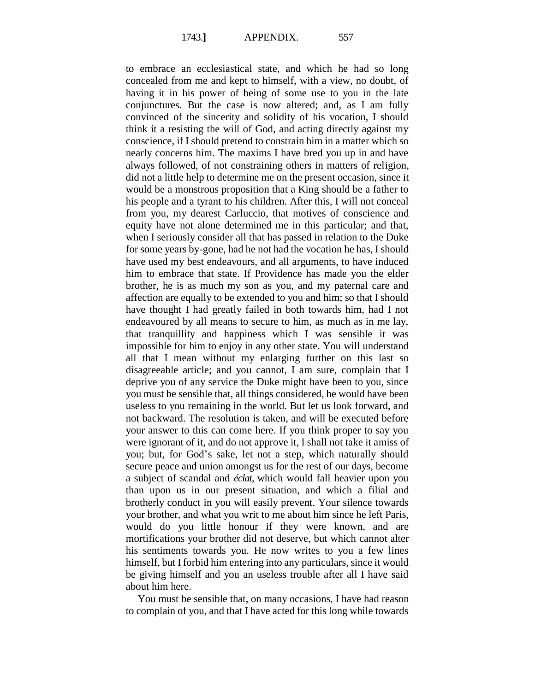to embrace an ecclesiastical state, and which he had so long concealed from me and kept to himself, with a view, no doubt, of having it in his power of being of some use to you in the late conjunctures. But the case is now altered; and, as I am fully convinced of the sincerity and solidity of his vocation, I should think it a resisting the will of God, and acting directly against my conscience, if I should pretend to constrain him in a matter which so nearly concerns him. The maxims I have bred you up in and have always followed, of not constraining others in matters of religion, did not a little help to determine me on the present occasion, since it would be a monstrous proposition that a King should be a father to his people and a tyrant to his children. After this, I will not conceal from you, my dearest Carluccio, that motives of conscience and equity have not alone determined me in this particular; and that, when I seriously consider all that has passed in relation to the Duke for some years by-gone, had he not had the vocation he has, I should have used my best endeavours, and all arguments, to have induced him to embrace that state. If Providence has made you the elder brother, he is as much my son as you, and my paternal care and affection are equally to be extended to you and him; so that I should have thought I had greatly failed in both towards him, had I not endeavoured by all means to secure to him, as much as in me lay, that tranquillity and happiness which I was sensible it was impossible for him to enjoy in any other state. You will understand all that I mean without my enlarging further on this last so disagreeable article; and you cannot, I am sure, complain that I deprive you of any service the Duke might have been to you, since you must be sensible that, all things considered, he would have been useless to you remaining in the world. But let us look forward, and not backward. The resolution is taken, and will be executed before your answer to this can come here. If you think proper to say you were ignorant of it, and do not approve it, I shall not take it amiss of you; but, for God's sake, let not a step, which naturally should secure peace and union amongst us for the rest of our days, become a subject of scandal and *éclat,* which would fall heavier upon you than upon us in our present situation, and which a filial and brotherly conduct in you will easily prevent. Your silence towards your brother, and what you writ to me about him since he left Paris, would do you little honour if they were known, and are mortifications your brother did not deserve, but which cannot alter his sentiments towards you. He now writes to you a few lines himself, but I forbid him entering into any particulars, since it would be giving himself and you an useless trouble after all I have said about him here.

You must be sensible that, on many occasions, I have had reason to complain of you, and that I have acted for this long while towards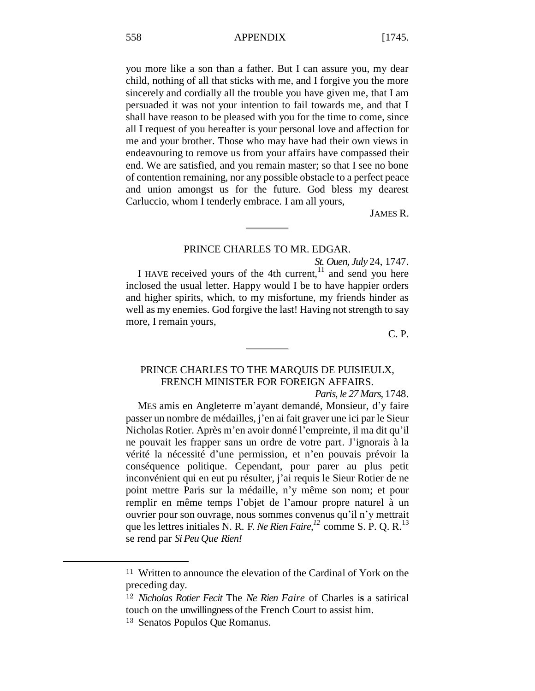you more like a son than a father. But I can assure you, my dear child, nothing of all that sticks with me, and I forgive you the more sincerely and cordially all the trouble you have given me, that I am persuaded it was not your intention to fail towards me, and that I shall have reason to be pleased with you for the time to come, since all I request of you hereafter is your personal love and affection for me and your brother. Those who may have had their own views in endeavouring to remove us from your affairs have compassed their end. We are satisfied, and you remain master; so that I see no bone of contention remaining, nor any possible obstacle to a perfect peace and union amongst us for the future. God bless my dearest Carluccio, whom I tenderly embrace. I am all yours,

JAMES R.

### PRINCE CHARLES TO MR. EDGAR.

*St. Ouen, July* 24, 1747.

I HAVE received yours of the 4th current, $11$  and send you here inclosed the usual letter. Happy would I be to have happier orders and higher spirits, which, to my misfortune, my friends hinder as well as my enemies. God forgive the last! Having not strength to say more, I remain yours,

C. P.

# PRINCE CHARLES TO THE MARQUIS DE PUISIEULX, FRENCH MINISTER FOR FOREIGN AFFAIRS.

*Paris, le 27 Mars,* 1748.

MES amis en Angleterre m'ayant demandé, Monsieur, d'y faire passer un nombre de médailles, j'en ai fait graver une ici par le Sieur Nicholas Rotier. Après m'en avoir donné l'empreinte, il ma dit qu'il ne pouvait les frapper sans un ordre de votre part. J'ignorais à la vérité la nécessité d'une permission, et n'en pouvais prévoir la conséquence politique. Cependant, pour parer au plus petit inconvénient qui en eut pu résulter, j'ai requis le Sieur Rotier de ne point mettre Paris sur la médaille, n'y même son nom; et pour remplir en même temps l'objet de l'amour propre naturel à un ouvrier pour son ouvrage, nous sommes convenus qu'il n'y mettrait que les lettres initiales N. R. F. *Ne Rien Faire*,<sup>12</sup> comme S. P. Q. R.<sup>13</sup> se rend par *Si Peu Que Rien!*

 $\overline{a}$ 

<sup>11</sup> Written to announce the elevation of the Cardinal of York on the preceding day.

<sup>12</sup> *Nicholas Rotier Fecit* The *Ne Rien Faire* of Charles i**s** a satirical touch on the unwillingness of the French Court to assist him.

<sup>13</sup> Senatos Populos Que Romanus.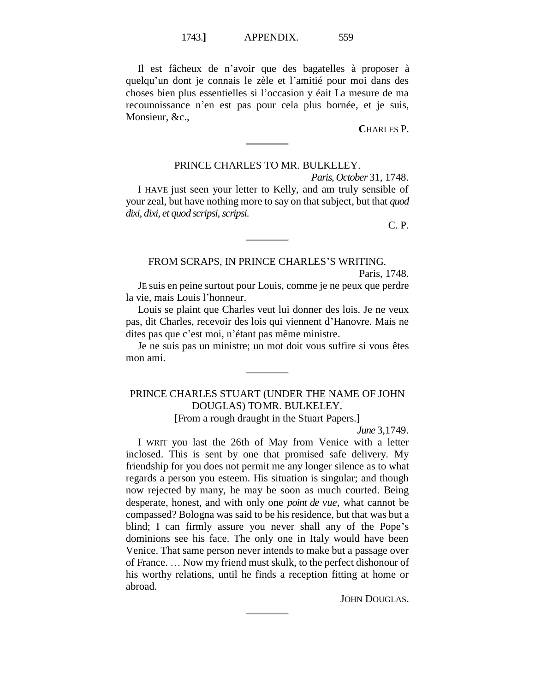Il est fâcheux de n'avoir que des bagatelles à proposer à quelqu'un dont je connais le zèle et l'amitié pour moi dans des choses bien plus essentielles si l'occasion y éait La mesure de ma recounoissance n'en est pas pour cela plus bornée, et je suis, Monsieur, &c.,

**C**HARLES P.

### PRINCE CHARLES TO MR. BULKELEY.

*Paris, October* 31, 1748.

I HAVE just seen your letter to Kelly, and am truly sensible of your zeal, but have nothing more to say on that subject, but that *quod dixi, dixi, et quod scripsi, scripsi.*

C. P.

#### FROM SCRAPS, IN PRINCE CHARLES'S WRITING.

Paris, 1748.

JE suis en peine surtout pour Louis, comme je ne peux que perdre la vie, mais Louis l'honneur.

Louis se plaint que Charles veut lui donner des lois. Je ne veux pas, dit Charles, recevoir des lois qui viennent d'Hanovre. Mais ne dites pas que c'est moi, n'étant pas même ministre.

Je ne suis pas un ministre; un mot doit vous suffire si vous êtes mon ami.

# PRINCE CHARLES STUART (UNDER THE NAME OF JOHN DOUGLAS) TOMR. BULKELEY.

[From a rough draught in the Stuart Papers.]

*June* 3,1749.

I WRIT you last the 26th of May from Venice with a letter inclosed. This is sent by one that promised safe delivery. My friendship for you does not permit me any longer silence as to what regards a person you esteem. His situation is singular; and though now rejected by many, he may be soon as much courted. Being desperate, honest, and with only one *point de vue*, what cannot be compassed? Bologna was said to be his residence, but that was but a blind; I can firmly assure you never shall any of the Pope's dominions see his face. The only one in Italy would have been Venice. That same person never intends to make but a passage over of France. … Now my friend must skulk, to the perfect dishonour of his worthy relations, until he finds a reception fitting at home or abroad.

JOHN DOUGLAS.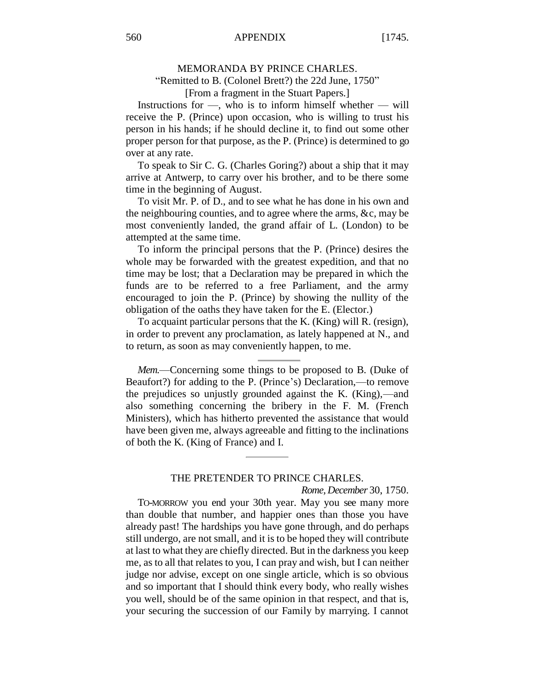#### MEMORANDA BY PRINCE CHARLES.

# "Remitted to B. (Colonel Brett?) the 22d June, 1750"

[From a fragment in the Stuart Papers.]

Instructions for —, who is to inform himself whether — will receive the P. (Prince) upon occasion, who is willing to trust his person in his hands; if he should decline it, to find out some other proper person for that purpose, as the P. (Prince) is determined to go over at any rate.

To speak to Sir C. G. (Charles Goring?) about a ship that it may arrive at Antwerp, to carry over his brother, and to be there some time in the beginning of August.

To visit Mr. P. of D., and to see what he has done in his own and the neighbouring counties, and to agree where the arms, &c, may be most conveniently landed, the grand affair of L. (London) to be attempted at the same time.

To inform the principal persons that the P. (Prince) desires the whole may be forwarded with the greatest expedition, and that no time may be lost; that a Declaration may be prepared in which the funds are to be referred to a free Parliament, and the army encouraged to join the P. (Prince) by showing the nullity of the obligation of the oaths they have taken for the E. (Elector.)

To acquaint particular persons that the K. (King) will R. (resign), in order to prevent any proclamation, as lately happened at N., and to return, as soon as may conveniently happen, to me.

*Mem.*—Concerning some things to be proposed to B. (Duke of Beaufort?) for adding to the P. (Prince's) Declaration,—to remove the prejudices so unjustly grounded against the K. (King),—and also something concerning the bribery in the F. M. (French Ministers), which has hitherto prevented the assistance that would have been given me, always agreeable and fitting to the inclinations of both the K. (King of France) and I.

# THE PRETENDER TO PRINCE CHARLES.

#### *Rome, December* 30, 1750.

TO-MORROW you end your 30th year. May you see many more than double that number, and happier ones than those you have already past! The hardships you have gone through, and do perhaps still undergo, are not small, and it is to be hoped they will contribute at last to what they are chiefly directed. But in the darkness you keep me, as to all that relates to you, I can pray and wish, but I can neither judge nor advise, except on one single article, which is so obvious and so important that I should think every body, who really wishes you well, should be of the same opinion in that respect, and that is, your securing the succession of our Family by marrying. I cannot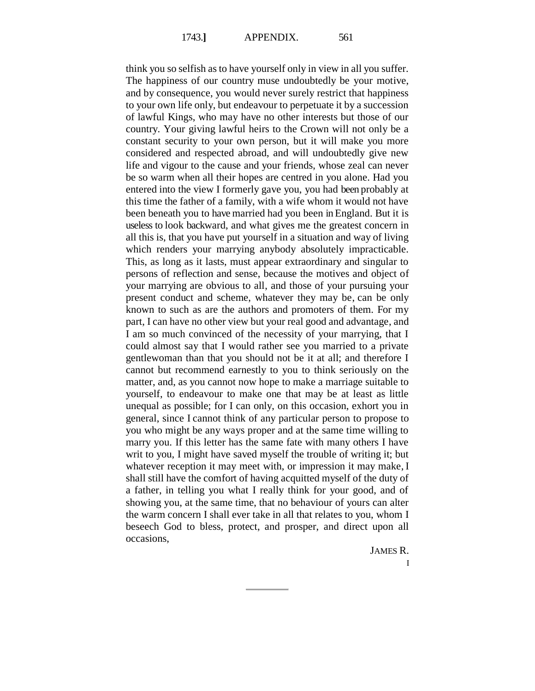think you so selfish as to have yourself only in view in all you suffer. The happiness of our country muse undoubtedly be your motive, and by consequence, you would never surely restrict that happiness to your own life only, but endeavour to perpetuate it by a succession of lawful Kings, who may have no other interests but those of our country. Your giving lawful heirs to the Crown will not only be a constant security to your own person, but it will make you more considered and respected abroad, and will undoubtedly give new life and vigour to the cause and your friends, whose zeal can never be so warm when all their hopes are centred in you alone. Had you entered into the view I formerly gave you, you had been probably at this time the father of a family, with a wife whom it would not have been beneath you to have married had you been inEngland. But it is useless to look backward, and what gives me the greatest concern in all this is, that you have put yourself in a situation and way of living which renders your marrying anybody absolutely impracticable. This, as long as it lasts, must appear extraordinary and singular to persons of reflection and sense, because the motives and object of your marrying are obvious to all, and those of your pursuing your present conduct and scheme, whatever they may be, can be only known to such as are the authors and promoters of them. For my part, I can have no other view but your real good and advantage, and I am so much convinced of the necessity of your marrying, that I could almost say that I would rather see you married to a private gentlewoman than that you should not be it at all; and therefore I cannot but recommend earnestly to you to think seriously on the matter, and, as you cannot now hope to make a marriage suitable to yourself, to endeavour to make one that may be at least as little unequal as possible; for I can only, on this occasion, exhort you in general, since I cannot think of any particular person to propose to you who might be any ways proper and at the same time willing to marry you. If this letter has the same fate with many others I have writ to you, I might have saved myself the trouble of writing it; but whatever reception it may meet with, or impression it may make, I shall still have the comfort of having acquitted myself of the duty of a father, in telling you what I really think for your good, and of showing you, at the same time, that no behaviour of yours can alter the warm concern I shall ever take in all that relates to you, whom I beseech God to bless, protect, and prosper, and direct upon all occasions,

JAMES R.

I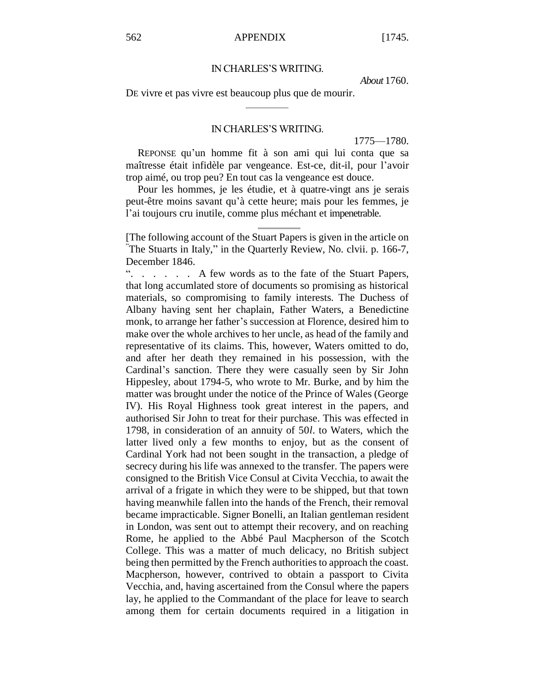### IN CHARLES'S WRITING.

*About* 1760.

DE vivre et pas vivre est beaucoup plus que de mourir.

#### IN CHARLES'S WRITING.

1775—1780.

REPONSE qu'un homme fit à son ami qui lui conta que sa maîtresse était infidèle par vengeance. Est-ce, dit-il, pour l'avoir trop aimé, ou trop peu? En tout cas la vengeance est douce.

Pour les hommes, je les étudie, et à quatre-vingt ans je serais peut-être moins savant qu'à cette heure; mais pour les femmes, je l'ai toujours cru inutile, comme plus méchant et impenetrable.

[The following account of the Stuart Papers is given in the article on The Stuarts in Italy," in the Quarterly Review, No. clvii. p. 166-7, December 1846.

". . . . . A few words as to the fate of the Stuart Papers, that long accumlated store of documents so promising as historical materials, so compromising to family interests. The Duchess of Albany having sent her chaplain, Father Waters, a Benedictine monk, to arrange her father's succession at Florence, desired him to make over the whole archives to her uncle, as head of the family and representative of its claims. This, however, Waters omitted to do, and after her death they remained in his possession, with the Cardinal's sanction. There they were casually seen by Sir John Hippesley, about 1794-5, who wrote to Mr. Burke, and by him the matter was brought under the notice of the Prince of Wales (George IV). His Royal Highness took great interest in the papers, and authorised Sir John to treat for their purchase. This was effected in 1798, in consideration of an annuity of 50*l*. to Waters, which the latter lived only a few months to enjoy, but as the consent of Cardinal York had not been sought in the transaction, a pledge of secrecy during his life was annexed to the transfer. The papers were consigned to the British Vice Consul at Civita Vecchia, to await the arrival of a frigate in which they were to be shipped, but that town having meanwhile fallen into the hands of the French, their removal became impracticable. Signer Bonelli, an Italian gentleman resident in London, was sent out to attempt their recovery, and on reaching Rome, he applied to the Abbé Paul Macpherson of the Scotch College. This was a matter of much delicacy, no British subject being then permitted by the French authorities to approach the coast. Macpherson, however, contrived to obtain a passport to Civita Vecchia, and, having ascertained from the Consul where the papers lay, he applied to the Commandant of the place for leave to search among them for certain documents required in a litigation in